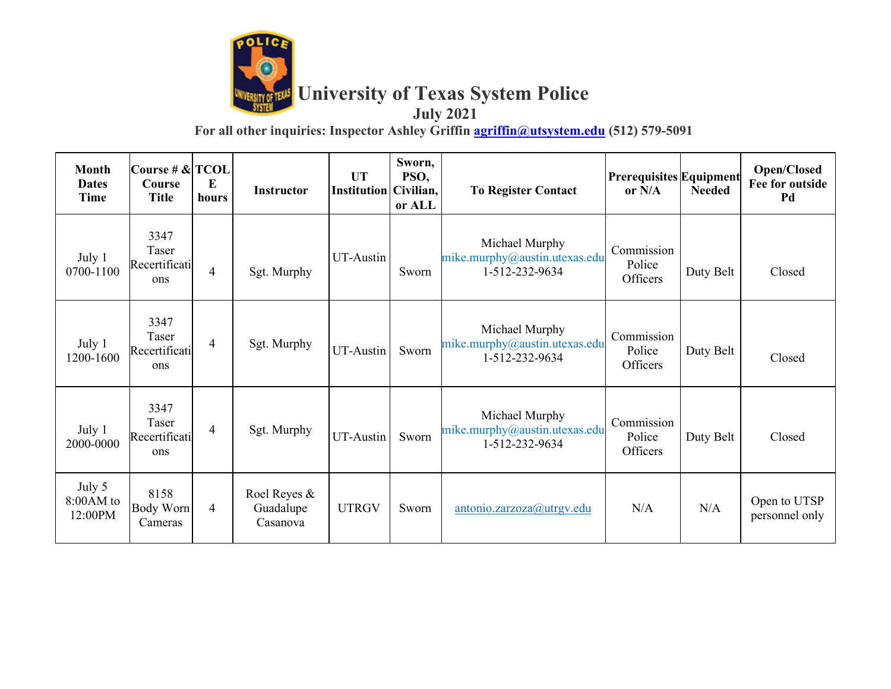

**University of Texas System Police**

**July 2021**

**For all other inquiries: Inspector Ashley Griffin [agriffin@utsystem.edu](mailto:agriffin@utsystem.edu) (512) 579-5091**

| Month<br><b>Dates</b><br><b>Time</b> | Course # $\&$ TCOL<br>Course<br><b>Title</b> | E<br>hours     | <b>Instructor</b>                     | <b>UT</b><br><b>Institution</b> | Sworn,<br>PSO,<br>Civilian,<br>or ALL | <b>To Register Contact</b>                                        | <b>Prerequisites Equipment</b><br>or $N/A$ | <b>Needed</b> | <b>Open/Closed</b><br>Fee for outside<br>Pd |
|--------------------------------------|----------------------------------------------|----------------|---------------------------------------|---------------------------------|---------------------------------------|-------------------------------------------------------------------|--------------------------------------------|---------------|---------------------------------------------|
| July 1<br>0700-1100                  | 3347<br>Taser<br>Recertificati<br>ons        | $\overline{4}$ | Sgt. Murphy                           | UT-Austin                       | Sworn                                 | Michael Murphy<br>mike.murphy@austin.utexas.edu<br>1-512-232-9634 | Commission<br>Police<br>Officers           | Duty Belt     | Closed                                      |
| July 1<br>1200-1600                  | 3347<br>Taser<br>Recertificati<br>ons        | $\overline{4}$ | Sgt. Murphy                           | UT-Austin                       | Sworn                                 | Michael Murphy<br>mike.murphy@austin.utexas.edu<br>1-512-232-9634 | Commission<br>Police<br>Officers           | Duty Belt     | Closed                                      |
| July 1<br>2000-0000                  | 3347<br>Taser<br>Recertificatil<br>ons       | $\overline{4}$ | Sgt. Murphy                           | UT-Austin                       | Sworn                                 | Michael Murphy<br>mike.murphy@austin.utexas.edu<br>1-512-232-9634 | Commission<br>Police<br>Officers           | Duty Belt     | Closed                                      |
| July 5<br>8:00AM to<br>12:00PM       | 8158<br><b>Body Worn</b><br>Cameras          | $\overline{4}$ | Roel Reyes &<br>Guadalupe<br>Casanova | <b>UTRGV</b>                    | Sworn                                 | antonio.zarzoza@utrgv.edu                                         | N/A                                        | N/A           | Open to UTSP<br>personnel only              |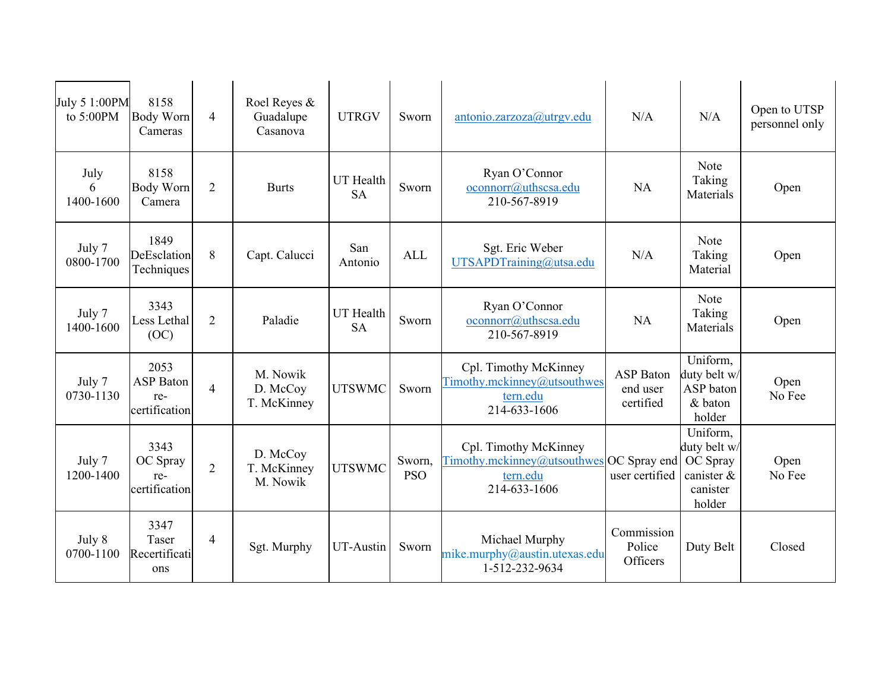| July 5 1:00PM<br>to $5:00PM$ | 8158<br><b>Body Worn</b><br>Cameras              | $\overline{4}$           | Roel Reyes &<br>Guadalupe<br>Casanova | <b>UTRGV</b>           | Sworn                | antonio.zarzoza@utrgv.edu                                                                     | N/A                                | N/A                                                                      | Open to UTSP<br>personnel only |
|------------------------------|--------------------------------------------------|--------------------------|---------------------------------------|------------------------|----------------------|-----------------------------------------------------------------------------------------------|------------------------------------|--------------------------------------------------------------------------|--------------------------------|
| July<br>6<br>1400-1600       | 8158<br><b>Body Worn</b><br>Camera               | $\overline{2}$           | <b>Burts</b>                          | UT Health<br><b>SA</b> | Sworn                | Ryan O'Connor<br>oconnorr@uthscsa.edu<br>210-567-8919                                         | <b>NA</b>                          | Note<br>Taking<br>Materials                                              | Open                           |
| July 7<br>0800-1700          | 1849<br>DeEsclation<br>Techniques                | 8                        | Capt. Calucci                         | San<br>Antonio         | <b>ALL</b>           | Sgt. Eric Weber<br>UTSAPDTraining@utsa.edu                                                    | N/A                                | Note<br>Taking<br>Material                                               | Open                           |
| July 7<br>1400-1600          | 3343<br>Less Lethal<br>(OC)                      | $\overline{2}$           | Paladie                               | UT Health<br><b>SA</b> | Sworn                | Ryan O'Connor<br>oconnorr@uthscsa.edu<br>210-567-8919                                         | <b>NA</b>                          | Note<br>Taking<br>Materials                                              | Open                           |
| July 7<br>0730-1130          | 2053<br><b>ASP</b> Baton<br>re-<br>certification | $\overline{4}$           | M. Nowik<br>D. McCoy<br>T. McKinney   | <b>UTSWMC</b>          | Sworn                | Cpl. Timothy McKinney<br>Timothy.mckinney@utsouthwes<br>tern.edu<br>214-633-1606              | ASP Baton<br>end user<br>certified | Uniform,<br>duty belt w/<br>ASP baton<br>& baton<br>holder               | Open<br>No Fee                 |
| July 7<br>1200-1400          | 3343<br>OC Spray<br>re-<br>certification         | $\overline{2}$           | D. McCoy<br>T. McKinney<br>M. Nowik   | <b>UTSWMC</b>          | Sworn,<br><b>PSO</b> | Cpl. Timothy McKinney<br>Timothy.mckinney@utsouthwes OC Spray end<br>tern.edu<br>214-633-1606 | user certified                     | Uniform,<br>duty belt w/<br>OC Spray<br>canister &<br>canister<br>holder | Open<br>No Fee                 |
| July 8<br>0700-1100          | 3347<br>Taser<br>Recertificati<br>ons            | $\overline{\mathcal{L}}$ | Sgt. Murphy                           | UT-Austin              | Sworn                | Michael Murphy<br>mike.murphy@austin.utexas.edu<br>1-512-232-9634                             | Commission<br>Police<br>Officers   | Duty Belt                                                                | Closed                         |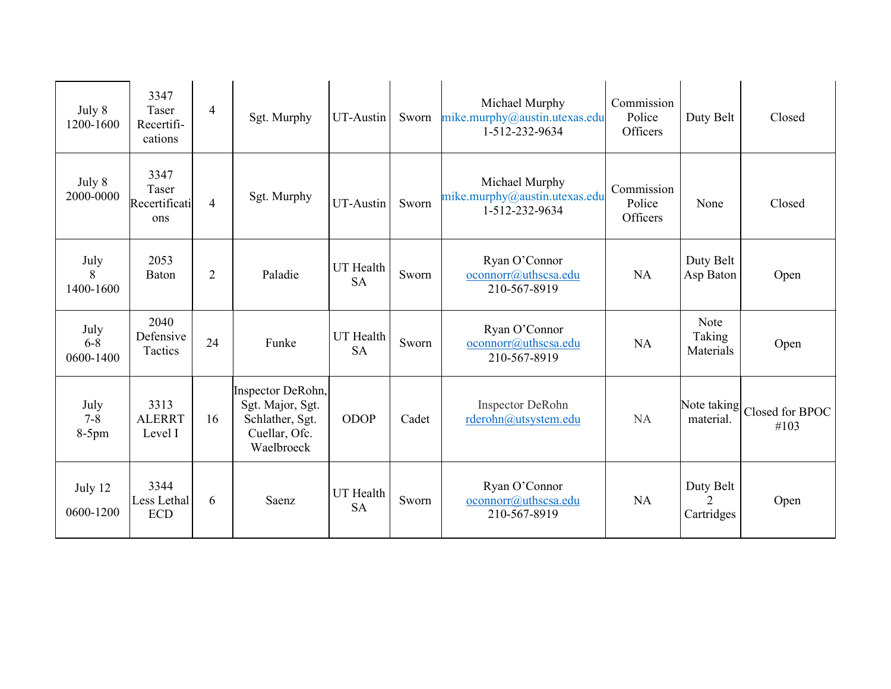| July 8<br>1200-1600          | 3347<br>Taser<br>Recertifi-<br>cations | $\overline{4}$ | Sgt. Murphy                                                                             | UT-Austin                     | Sworn | Michael Murphy<br>mike.murphy@austin.utexas.edu<br>1-512-232-9634 | Commission<br>Police<br>Officers | Duty Belt                                 | Closed                              |
|------------------------------|----------------------------------------|----------------|-----------------------------------------------------------------------------------------|-------------------------------|-------|-------------------------------------------------------------------|----------------------------------|-------------------------------------------|-------------------------------------|
| July 8<br>2000-0000          | 3347<br>Taser<br>Recertificati<br>ons  | $\overline{4}$ | Sgt. Murphy                                                                             | UT-Austin                     | Sworn | Michael Murphy<br>mike.murphy@austin.utexas.edu<br>1-512-232-9634 | Commission<br>Police<br>Officers | None                                      | Closed                              |
| July<br>8<br>1400-1600       | 2053<br>Baton                          | $\overline{2}$ | Paladie                                                                                 | UT Health<br><b>SA</b>        | Sworn | Ryan O'Connor<br>oconnorr@uthscsa.edu<br>210-567-8919             | <b>NA</b>                        | Duty Belt<br>Asp Baton                    | Open                                |
| July<br>$6 - 8$<br>0600-1400 | 2040<br>Defensive<br>Tactics           | 24             | Funke                                                                                   | <b>UT</b> Health<br><b>SA</b> | Sworn | Ryan O'Connor<br>oconnorr@uthscsa.edu<br>210-567-8919             | <b>NA</b>                        | Note<br>Taking<br>Materials               | Open                                |
| July<br>$7 - 8$<br>$8-5$ pm  | 3313<br><b>ALERRT</b><br>Level I       | 16             | Inspector DeRohn,<br>Sgt. Major, Sgt.<br>Schlather, Sgt.<br>Cuellar, Ofc.<br>Waelbroeck | <b>ODOP</b>                   | Cadet | Inspector DeRohn<br>rderohn@utsystem.edu                          | <b>NA</b>                        | material.                                 | Note taking Closed for BPOC<br>#103 |
| July 12<br>0600-1200         | 3344<br>Less Lethal<br><b>ECD</b>      | 6              | Saenz                                                                                   | <b>UT</b> Health<br><b>SA</b> | Sworn | Ryan O'Connor<br>oconnorr@uthscsa.edu<br>210-567-8919             | <b>NA</b>                        | Duty Belt<br>$\mathfrak{D}$<br>Cartridges | Open                                |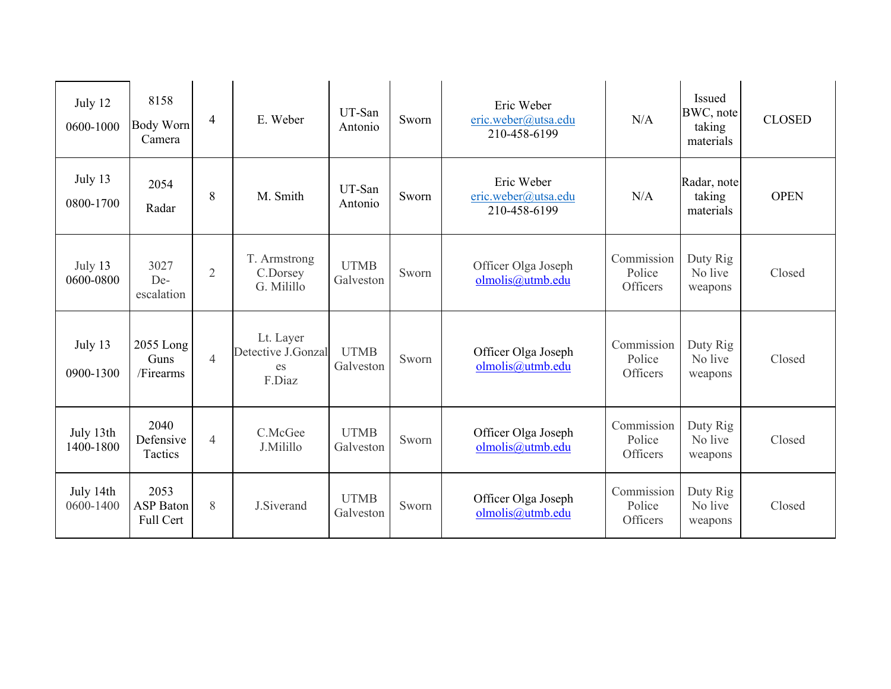| July 12<br>0600-1000   | 8158<br><b>Body Worn</b><br>Camera    | 4              | E. Weber                                        | UT-San<br>Antonio        | Sworn | Eric Weber<br>eric.weber@utsa.edu<br>210-458-6199 | N/A                              | <b>Issued</b><br>BWC, note<br>taking<br>materials | <b>CLOSED</b> |
|------------------------|---------------------------------------|----------------|-------------------------------------------------|--------------------------|-------|---------------------------------------------------|----------------------------------|---------------------------------------------------|---------------|
| July 13<br>0800-1700   | 2054<br>Radar                         | 8              | M. Smith                                        | UT-San<br>Antonio        | Sworn | Eric Weber<br>eric.weber@utsa.edu<br>210-458-6199 | N/A                              | Radar, note<br>taking<br>materials                | <b>OPEN</b>   |
| July 13<br>0600-0800   | 3027<br>De-<br>escalation             | $\overline{2}$ | T. Armstrong<br>C.Dorsey<br>G. Milillo          | <b>UTMB</b><br>Galveston | Sworn | Officer Olga Joseph<br>olmolis@utmb.edu           | Commission<br>Police<br>Officers | Duty Rig<br>No live<br>weapons                    | Closed        |
| July 13<br>0900-1300   | 2055 Long<br>Guns<br>/Firearms        | $\overline{4}$ | Lt. Layer<br>Detective J.Gonzal<br>es<br>F.Diaz | <b>UTMB</b><br>Galveston | Sworn | Officer Olga Joseph<br>olmolis@utmb.edu           | Commission<br>Police<br>Officers | Duty Rig<br>No live<br>weapons                    | Closed        |
| July 13th<br>1400-1800 | 2040<br>Defensive<br>Tactics          | $\overline{4}$ | C.McGee<br>J.Milillo                            | <b>UTMB</b><br>Galveston | Sworn | Officer Olga Joseph<br>olmolis@utmb.edu           | Commission<br>Police<br>Officers | Duty Rig<br>No live<br>weapons                    | Closed        |
| July 14th<br>0600-1400 | 2053<br><b>ASP</b> Baton<br>Full Cert | 8              | J.Siverand                                      | <b>UTMB</b><br>Galveston | Sworn | Officer Olga Joseph<br>olmolis@utmb.edu           | Commission<br>Police<br>Officers | Duty Rig<br>No live<br>weapons                    | Closed        |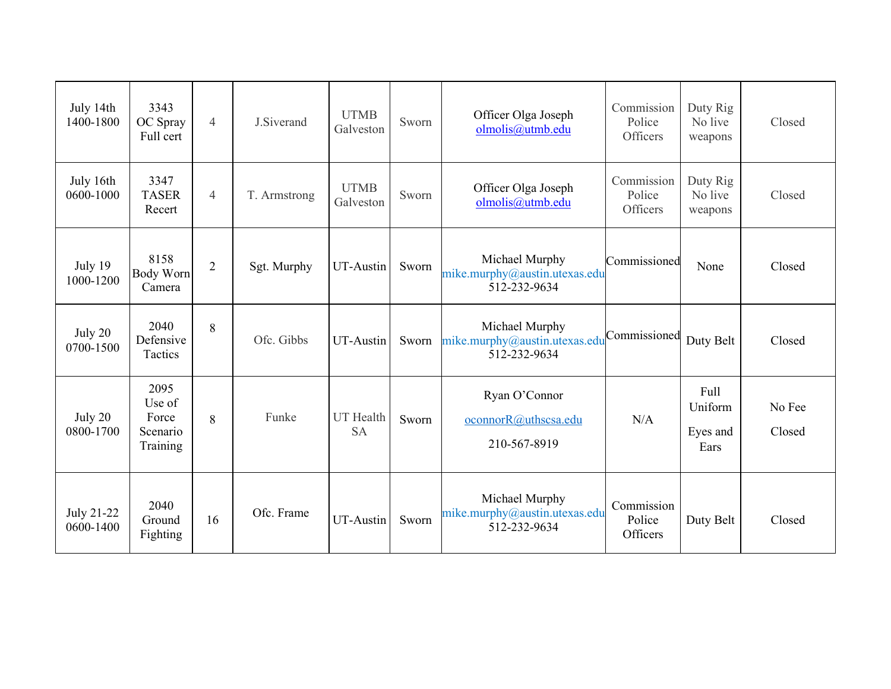| July 14th<br>1400-1800  | 3343<br>OC Spray<br>Full cert                   | 4              | J.Siverand   | <b>UTMB</b><br>Galveston      | Sworn | Officer Olga Joseph<br>olmolis@utmb.edu                         | Commission<br>Police<br>Officers | Duty Rig<br>No live<br>weapons      | Closed           |
|-------------------------|-------------------------------------------------|----------------|--------------|-------------------------------|-------|-----------------------------------------------------------------|----------------------------------|-------------------------------------|------------------|
| July 16th<br>0600-1000  | 3347<br><b>TASER</b><br>Recert                  | $\overline{4}$ | T. Armstrong | <b>UTMB</b><br>Galveston      | Sworn | Officer Olga Joseph<br>olmolis@utmb.edu                         | Commission<br>Police<br>Officers | Duty Rig<br>No live<br>weapons      | Closed           |
| July 19<br>1000-1200    | 8158<br><b>Body Worn</b><br>Camera              | $\overline{2}$ | Sgt. Murphy  | UT-Austin                     | Sworn | Michael Murphy<br>mike.murphy@austin.utexas.edu<br>512-232-9634 | Commissioned                     | None                                | Closed           |
| July 20<br>0700-1500    | 2040<br>Defensive<br>Tactics                    | 8              | Ofc. Gibbs   | UT-Austin                     | Sworn | Michael Murphy<br>mike.murphy@austin.utexas.edu<br>512-232-9634 | Commissioned                     | Duty Belt                           | Closed           |
| July 20<br>0800-1700    | 2095<br>Use of<br>Force<br>Scenario<br>Training | 8              | Funke        | <b>UT</b> Health<br><b>SA</b> | Sworn | Ryan O'Connor<br>oconnorR@uthscsa.edu<br>210-567-8919           | N/A                              | Full<br>Uniform<br>Eyes and<br>Ears | No Fee<br>Closed |
| July 21-22<br>0600-1400 | 2040<br>Ground<br>Fighting                      | 16             | Ofc. Frame   | UT-Austin                     | Sworn | Michael Murphy<br>mike.murphy@austin.utexas.edu<br>512-232-9634 | Commission<br>Police<br>Officers | Duty Belt                           | Closed           |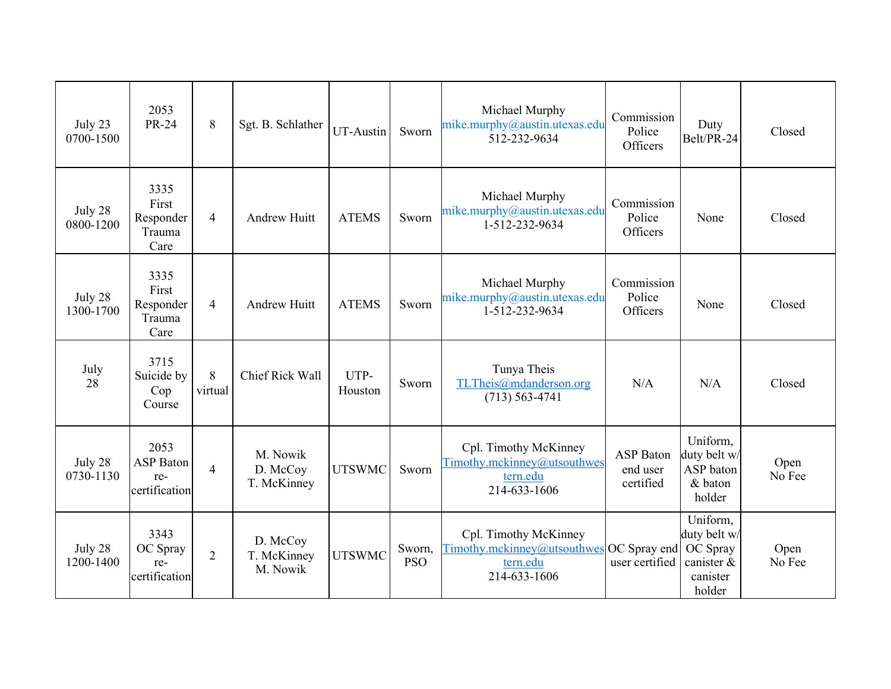| July 23<br>0700-1500 | 2053<br><b>PR-24</b>                             | 8              | Sgt. B. Schlather                   | UT-Austin       | Sworn                | Michael Murphy<br>mike.murphy@austin.utexas.edu<br>512-232-9634                               | Commission<br>Police<br>Officers          | Duty<br>Belt/PR-24                                                       | Closed         |
|----------------------|--------------------------------------------------|----------------|-------------------------------------|-----------------|----------------------|-----------------------------------------------------------------------------------------------|-------------------------------------------|--------------------------------------------------------------------------|----------------|
| July 28<br>0800-1200 | 3335<br>First<br>Responder<br>Trauma<br>Care     | $\overline{4}$ | <b>Andrew Huitt</b>                 | <b>ATEMS</b>    | Sworn                | Michael Murphy<br>mike.murphy@austin.utexas.edu<br>1-512-232-9634                             | Commission<br>Police<br>Officers          | None                                                                     | Closed         |
| July 28<br>1300-1700 | 3335<br>First<br>Responder<br>Trauma<br>Care     | $\overline{4}$ | <b>Andrew Huitt</b>                 | <b>ATEMS</b>    | Sworn                | Michael Murphy<br>mike.murphy@austin.utexas.edu<br>1-512-232-9634                             | Commission<br>Police<br>Officers          | None                                                                     | Closed         |
| July<br>28           | 3715<br>Suicide by<br>Cop<br>Course              | 8<br>virtual   | Chief Rick Wall                     | UTP-<br>Houston | Sworn                | Tunya Theis<br>TLTheis@mdanderson.org<br>$(713) 563 - 4741$                                   | N/A                                       | N/A                                                                      | Closed         |
| July 28<br>0730-1130 | 2053<br><b>ASP</b> Baton<br>re-<br>certification | $\overline{4}$ | M. Nowik<br>D. McCoy<br>T. McKinney | <b>UTSWMC</b>   | Sworn                | Cpl. Timothy McKinney<br>Timothy.mckinney@utsouthwes<br>tern.edu<br>214-633-1606              | <b>ASP</b> Baton<br>end user<br>certified | Uniform,<br>duty belt w/<br>ASP baton<br>& baton<br>holder               | Open<br>No Fee |
| July 28<br>1200-1400 | 3343<br>OC Spray<br>re-<br>certification         | $\overline{2}$ | D. McCoy<br>T. McKinney<br>M. Nowik | <b>UTSWMC</b>   | Sworn,<br><b>PSO</b> | Cpl. Timothy McKinney<br>Timothy.mckinney@utsouthwes OC Spray end<br>tern.edu<br>214-633-1606 | user certified                            | Uniform,<br>duty belt w/<br>OC Spray<br>canister &<br>canister<br>holder | Open<br>No Fee |